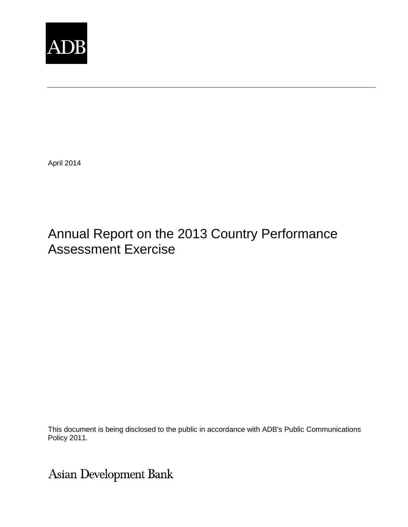

April 2014

# Annual Report on the 2013 Country Performance Assessment Exercise

This document is being disclosed to the public in accordance with ADB's Public Communications Policy 2011.

Asian Development Bank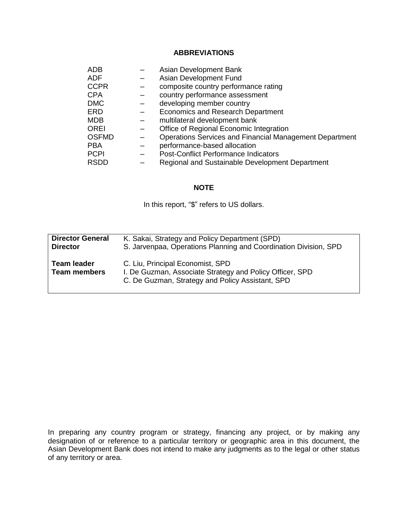## **ABBREVIATIONS**

| <b>ADB</b>   | Asian Development Bank                                  |
|--------------|---------------------------------------------------------|
| <b>ADF</b>   | Asian Development Fund                                  |
| <b>CCPR</b>  | composite country performance rating                    |
| <b>CPA</b>   | country performance assessment                          |
| <b>DMC</b>   | developing member country                               |
| ERD          | Economics and Research Department                       |
| <b>MDB</b>   | multilateral development bank                           |
| <b>OREI</b>  | Office of Regional Economic Integration                 |
| <b>OSFMD</b> | Operations Services and Financial Management Department |
| <b>PBA</b>   | performance-based allocation                            |
| <b>PCPI</b>  | <b>Post-Conflict Performance Indicators</b>             |
| <b>RSDD</b>  | Regional and Sustainable Development Department         |

#### **NOTE**

In this report, "\$" refers to US dollars.

| <b>Director General</b>            | K. Sakai, Strategy and Policy Department (SPD)                                                                                                   |
|------------------------------------|--------------------------------------------------------------------------------------------------------------------------------------------------|
| <b>Director</b>                    | S. Jarvenpaa, Operations Planning and Coordination Division, SPD                                                                                 |
| Team leader<br><b>Team members</b> | C. Liu, Principal Economist, SPD<br>I. De Guzman, Associate Strategy and Policy Officer, SPD<br>C. De Guzman, Strategy and Policy Assistant, SPD |

In preparing any country program or strategy, financing any project, or by making any designation of or reference to a particular territory or geographic area in this document, the Asian Development Bank does not intend to make any judgments as to the legal or other status of any territory or area.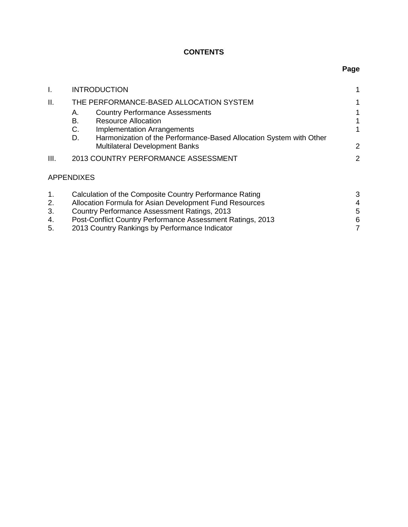# **CONTENTS**

| Τ.                         | <b>INTRODUCTION</b>                                                                                                                                                                                                                                                                | 1                |  |  |  |  |  |  |  |
|----------------------------|------------------------------------------------------------------------------------------------------------------------------------------------------------------------------------------------------------------------------------------------------------------------------------|------------------|--|--|--|--|--|--|--|
| Ш.                         | THE PERFORMANCE-BASED ALLOCATION SYSTEM                                                                                                                                                                                                                                            | 1                |  |  |  |  |  |  |  |
|                            | <b>Country Performance Assessments</b><br>Α.<br>В.<br><b>Resource Allocation</b>                                                                                                                                                                                                   |                  |  |  |  |  |  |  |  |
|                            | C.<br><b>Implementation Arrangements</b><br>D.<br>Harmonization of the Performance-Based Allocation System with Other<br><b>Multilateral Development Banks</b>                                                                                                                     |                  |  |  |  |  |  |  |  |
| III.                       | 2013 COUNTRY PERFORMANCE ASSESSMENT                                                                                                                                                                                                                                                |                  |  |  |  |  |  |  |  |
|                            | <b>APPENDIXES</b>                                                                                                                                                                                                                                                                  |                  |  |  |  |  |  |  |  |
| 1.<br>2.<br>3.<br>4.<br>5. | Calculation of the Composite Country Performance Rating<br>Allocation Formula for Asian Development Fund Resources<br>Country Performance Assessment Ratings, 2013<br>Post-Conflict Country Performance Assessment Ratings, 2013<br>2013 Country Rankings by Performance Indicator | 3<br>4<br>5<br>6 |  |  |  |  |  |  |  |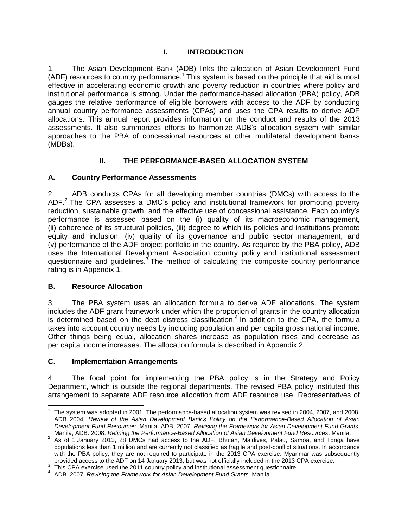## **I. INTRODUCTION**

<span id="page-3-0"></span>1. The Asian Development Bank (ADB) links the allocation of Asian Development Fund (ADF) resources to country performance.<sup>1</sup> This system is based on the principle that aid is most effective in accelerating economic growth and poverty reduction in countries where policy and institutional performance is strong. Under the performance-based allocation (PBA) policy, ADB gauges the relative performance of eligible borrowers with access to the ADF by conducting annual country performance assessments (CPAs) and uses the CPA results to derive ADF allocations. This annual report provides information on the conduct and results of the 2013 assessments. It also summarizes efforts to harmonize ADB's allocation system with similar approaches to the PBA of concessional resources at other multilateral development banks (MDBs).

## **II. THE PERFORMANCE-BASED ALLOCATION SYSTEM**

## <span id="page-3-2"></span><span id="page-3-1"></span>**A. Country Performance Assessments**

2. ADB conducts CPAs for all developing member countries (DMCs) with access to the ADF.<sup>2</sup> The CPA assesses a DMC's policy and institutional framework for promoting poverty reduction, sustainable growth, and the effective use of concessional assistance. Each country's performance is assessed based on the (i) quality of its macroeconomic management, (ii) coherence of its structural policies, (iii) degree to which its policies and institutions promote equity and inclusion, (iv) quality of its governance and public sector management, and (v) performance of the ADF project portfolio in the country. As required by the PBA policy, ADB uses the International Development Association country policy and institutional assessment questionnaire and guidelines. $3$  The method of calculating the composite country performance rating is in Appendix 1.

#### <span id="page-3-3"></span>**B. Resource Allocation**

3. The PBA system uses an allocation formula to derive ADF allocations. The system includes the ADF grant framework under which the proportion of grants in the country allocation is determined based on the debt distress classification. 4 In addition to the CPA, the formula takes into account country needs by including population and per capita gross national income. Other things being equal, allocation shares increase as population rises and decrease as per capita income increases. The allocation formula is described in Appendix 2.

#### <span id="page-3-4"></span>**C. Implementation Arrangements**

4. The focal point for implementing the PBA policy is in the Strategy and Policy Department, which is outside the regional departments. The revised PBA policy instituted this arrangement to separate ADF resource allocation from ADF resource use. Representatives of

 1 The system was adopted in 2001. The performance-based allocation system was revised in 2004, 2007, and 2008. ADB. 2004. *Review of the Asian Development Bank's Policy on the Performance-Based Allocation of Asian Development Fund Resources.* Manila; ADB. 2007. *Revising the Framework for Asian Development Fund Grants*. Manila; ADB. 2008. *Refining the Performance-Based Allocation of Asian Development Fund Resources*. Manila.

 $2$  As of 1 January 2013, 28 DMCs had access to the ADF. Bhutan, Maldives, Palau, Samoa, and Tonga have populations less than 1 million and are currently not classified as fragile and post-conflict situations. In accordance with the PBA policy, they are not required to participate in the 2013 CPA exercise. Myanmar was subsequently provided access to the ADF on 14 January 2013, but was not officially included in the 2013 CPA exercise.

 $3$  This CPA exercise used the 2011 country policy and institutional assessment questionnaire.

<sup>4</sup> ADB. 2007. *Revising the Framework for Asian Development Fund Grants*. Manila.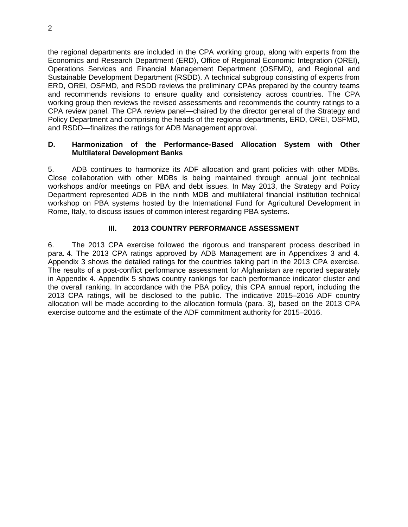the regional departments are included in the CPA working group, along with experts from the Economics and Research Department (ERD), Office of Regional Economic Integration (OREI), Operations Services and Financial Management Department (OSFMD), and Regional and Sustainable Development Department (RSDD). A technical subgroup consisting of experts from ERD, OREI, OSFMD, and RSDD reviews the preliminary CPAs prepared by the country teams and recommends revisions to ensure quality and consistency across countries. The CPA working group then reviews the revised assessments and recommends the country ratings to a CPA review panel. The CPA review panel—chaired by the director general of the Strategy and Policy Department and comprising the heads of the regional departments, ERD, OREI, OSFMD, and RSDD—finalizes the ratings for ADB Management approval.

#### <span id="page-4-0"></span>**D. Harmonization of the Performance-Based Allocation System with Other Multilateral Development Banks**

5. ADB continues to harmonize its ADF allocation and grant policies with other MDBs. Close collaboration with other MDBs is being maintained through annual joint technical workshops and/or meetings on PBA and debt issues. In May 2013, the Strategy and Policy Department represented ADB in the ninth MDB and multilateral financial institution technical workshop on PBA systems hosted by the International Fund for Agricultural Development in Rome, Italy, to discuss issues of common interest regarding PBA systems.

#### **III. 2013 COUNTRY PERFORMANCE ASSESSMENT**

<span id="page-4-1"></span>6. The 2013 CPA exercise followed the rigorous and transparent process described in para. 4. The 2013 CPA ratings approved by ADB Management are in Appendixes 3 and 4. Appendix 3 shows the detailed ratings for the countries taking part in the 2013 CPA exercise. The results of a post-conflict performance assessment for Afghanistan are reported separately in Appendix 4. Appendix 5 shows country rankings for each performance indicator cluster and the overall ranking. In accordance with the PBA policy, this CPA annual report, including the 2013 CPA ratings, will be disclosed to the public. The indicative 2015–2016 ADF country allocation will be made according to the allocation formula (para. 3), based on the 2013 CPA exercise outcome and the estimate of the ADF commitment authority for 2015–2016.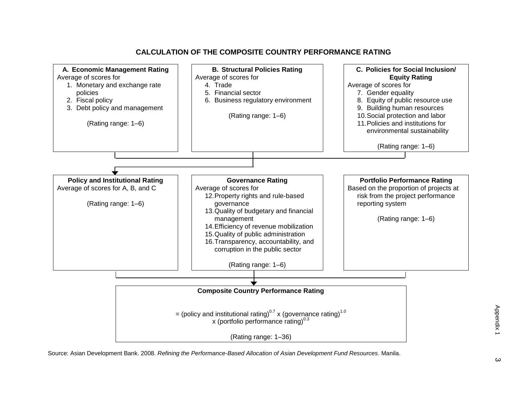

#### **CALCULATION OF THE COMPOSITE COUNTRY PERFORMANCE RATING**

Source: Asian Development Bank. 2008. *Refining the Performance-Based Allocation of Asian Development Fund Resources*. Manila.

 $\omega$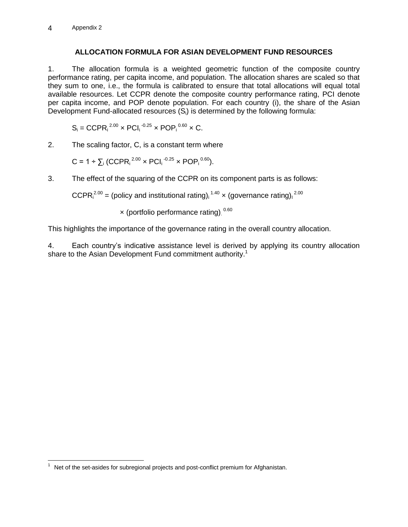## **ALLOCATION FORMULA FOR ASIAN DEVELOPMENT FUND RESOURCES**

1. The allocation formula is a weighted geometric function of the composite country performance rating, per capita income, and population. The allocation shares are scaled so that they sum to one, i.e., the formula is calibrated to ensure that total allocations will equal total available resources. Let CCPR denote the composite country performance rating, PCI denote per capita income, and POP denote population. For each country (i), the share of the Asian Development Fund-allocated resources (S<sub>i</sub>) is determined by the following formula:

$$
S_i = CCPR_i^{2.00} \times PCl_i^{-0.25} \times POP_i^{0.60} \times C.
$$

2. The scaling factor, C, is a constant term where

$$
C = 1 \div \sum_i (CCPR_i^{2.00} \times PCI_i^{-0.25} \times POP_i^{0.60}).
$$

3. The effect of the squaring of the CCPR on its component parts is as follows:

CCPR $i^{2.00}$  = (policy and institutional rating),  $1.40 \times$  (governance rating),  $2.00$ 

× (portfolio performance rating). 0.60

This highlights the importance of the governance rating in the overall country allocation.

4. Each country's indicative assistance level is derived by applying its country allocation share to the Asian Development Fund commitment authority.<sup>1</sup>

 $1$  Net of the set-asides for subregional projects and post-conflict premium for Afghanistan.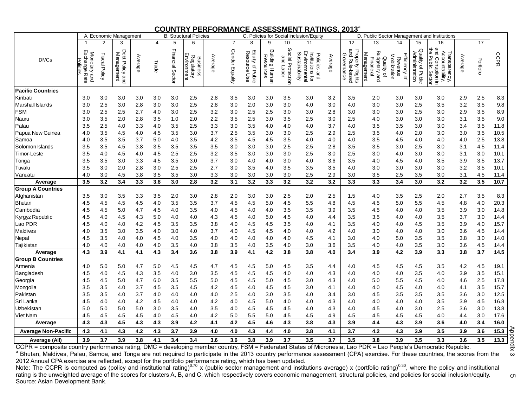#### **COUNTRY PERFORMANCE ASSESSMENT RATINGS, 2013** a

| A. Economic Management                                                                                                                                                                     |                                                |                  |                                            | <b>B. Structural Policies</b> |       |                  |                                                     | C. Policies for Social Inclusion/Equity |                 |                                                          |                                       |                                |                                                                         | D. Public Sector Management and Institutions |                                                           |                                                                         |                                                     |                                               |                                                                                   |         |           |                   |
|--------------------------------------------------------------------------------------------------------------------------------------------------------------------------------------------|------------------------------------------------|------------------|--------------------------------------------|-------------------------------|-------|------------------|-----------------------------------------------------|-----------------------------------------|-----------------|----------------------------------------------------------|---------------------------------------|--------------------------------|-------------------------------------------------------------------------|----------------------------------------------|-----------------------------------------------------------|-------------------------------------------------------------------------|-----------------------------------------------------|-----------------------------------------------|-----------------------------------------------------------------------------------|---------|-----------|-------------------|
| <b>DMCs</b>                                                                                                                                                                                |                                                |                  | 3                                          |                               | 4     | 5                | 6                                                   |                                         | 7               | 8                                                        | 9                                     | 10                             | 11                                                                      |                                              | 12                                                        | 13                                                                      | 14                                                  | 15                                            | 16                                                                                |         | 17        |                   |
|                                                                                                                                                                                            | Exchange<br>Monetary<br>Policie<br>Rate<br>and | Fiscal<br>Policy | Debt<br>Management<br><b>Policy</b><br>and | Average                       | Trade | Financial Sector | Environment<br><b>Regulatory</b><br><b>Business</b> | Average                                 | Gender Equality | Equity<br>Resot<br>esource<br>$\Omega$<br>i Use<br>pilic | <b>Building</b><br>Resources<br>Human | Social Protection<br>and Labor | Environmental<br>Institutions<br>Sustainability<br>Policies<br>and<br>đ | Average                                      | and<br><b>Property Rights</b><br>Governance<br>Rule-based | <b>Budgetary</b><br><u>Management</u><br>Financial<br>Quality of<br>and | Mobilization<br>fficiency<br>Revenue<br>$\subseteq$ | Quality<br><b>Administration</b><br>of Public | gnd<br>ᅝ<br>Accountability,<br>Transparency,<br>Public<br>Corruption in<br>Sector | Average | Portfolio | CCPR              |
| <b>Pacific Countries</b>                                                                                                                                                                   |                                                |                  |                                            |                               |       |                  |                                                     |                                         |                 |                                                          |                                       |                                |                                                                         |                                              |                                                           |                                                                         |                                                     |                                               |                                                                                   |         |           |                   |
| Kiribati                                                                                                                                                                                   | 3.0                                            | 3.0              | 3.0                                        | 3.0                           | 3.0   | 3.0              | 2.5                                                 | 2.8                                     | 3.5             | 3.0                                                      | 3.0                                   | 3.5                            | 3.0                                                                     | 3.2                                          | 3.5                                                       | 2.0                                                                     | 3.0                                                 | 3.0                                           | 3.0                                                                               | 2.9     | 2.5       | 8.3               |
| Marshall Islands                                                                                                                                                                           | 3.0                                            | 2.5              | 3.0                                        | 2.8                           | 3.0   | 3.0              | 2.5                                                 | 2.8                                     | 3.0             | 2.0                                                      | 3.0                                   | 3.0                            | 4.0                                                                     | 3.0                                          | 4.0                                                       | 3.0                                                                     | 3.0                                                 | 2.5                                           | 3.5                                                                               | 3.2     | 3.5       | 9.8               |
| <b>FSM</b>                                                                                                                                                                                 | 3.0                                            | 2.5              | 2.5                                        | 2.7                           | 4.0   | 3.0              | 2.5                                                 | 3.2                                     | 3.0             | 2.5                                                      | 2.5                                   | 3.0                            | 3.0                                                                     | 2.8                                          | 3.0                                                       | 3.0                                                                     | 3.0                                                 | 2.5                                           | 3.0                                                                               | 2.9     | 3.5       | 8.9               |
| Nauru                                                                                                                                                                                      | 3.0                                            | 3.5              | 2.0                                        | 2.8                           | 3.5   | 1.0              | 2.0                                                 | 2.2                                     | 3.5             | 2.5                                                      | 3.0                                   | 3.5                            | 2.5                                                                     | 3.0                                          | 2.5                                                       | 4.0                                                                     | 3.0                                                 | 3.0                                           | 3.0                                                                               | 3.1     | 3.5       | 9.0               |
| Palau                                                                                                                                                                                      | 3.5                                            | 2.5              | 4.0                                        | 3.3                           | 4.0   | 3.5              | 2.5                                                 | 3.3                                     | 3.0             | 3.5                                                      | 4.0                                   | 4.0                            | 4.0                                                                     | 3.7                                          | 4.0                                                       | 3.5                                                                     | 3.5                                                 | 3.0                                           | 3.0                                                                               | 3.4     | 3.5       | 11.8              |
| Papua New Guinea                                                                                                                                                                           | 4.0                                            | 3.5              | 4.5                                        | 4.0                           | 4.5   | 3.5              | 3.0                                                 | 3.7                                     | 2.5             | 3.5                                                      | 3.0                                   | 3.0                            | 2.5                                                                     | 2.9                                          | 2.5                                                       | 3.5                                                                     | 4.0                                                 | 2.0                                           | 3.0                                                                               | 3.0     | 3.5       | 10.5              |
| Samoa                                                                                                                                                                                      | 4.0                                            | 3.5              | 3.5                                        | 3.7                           | 5.0   | 4.0              | 3.5                                                 | 4.2                                     | 3.5             | 4.5                                                      | 4.5                                   | 3.5                            | 4.0                                                                     | 4.0                                          | 4.0                                                       | 3.5                                                                     | 4.5                                                 | 4.0                                           | 4.0                                                                               | 4.0     | 2.5       | 13.8              |
| Solomon Islands                                                                                                                                                                            | 3.5                                            | 3.5              | 4.5                                        | 3.8                           | 3.5   | 3.5              | 3.5                                                 | 3.5                                     | 3.0             | 3.0                                                      | 3.0                                   | 2.5                            | 2.5                                                                     | 2.8                                          | 3.5                                                       | 3.5                                                                     | 3.0                                                 | 2.5                                           | 3.0                                                                               | 3.1     | 4.5       | 11.4              |
| Timor-Leste                                                                                                                                                                                | 3.5                                            | 4.0              | 4.5                                        | 4.0                           | 4.5   | 2.5              | 2.5                                                 | 3.2                                     | 3.5             | 3.0                                                      | 3.0                                   | 3.0                            | 2.5                                                                     | 3.0                                          | 2.5                                                       | 3.0                                                                     | 4.0                                                 | 3.0                                           | 3.0                                                                               | 3.1     | 3.0       | 10.1              |
| Tonga                                                                                                                                                                                      | 3.5                                            | 3.5              | 3.0                                        | 3.3                           | 4.5   | 3.5              | 3.0                                                 | 3.7                                     | 3.0             | 4.0                                                      | 4.0                                   | 3.0                            | 4.0                                                                     | 3.6                                          | 3.5                                                       | 4.0                                                                     | 4.5                                                 | 4.0                                           | 3.5                                                                               | 3.9     | 3.5       | 13.7              |
| Tuvalu                                                                                                                                                                                     | 3.5                                            | 3.0              | 2.0                                        | 2.8                           | 3.0   | 2.5              | 2.5                                                 | 2.7                                     | 3.0             | 3.5                                                      | 4.0                                   | 3.5                            | 3.5                                                                     | 3.5                                          | 4.0                                                       | 3.0                                                                     | 3.0                                                 | 3.0                                           | 3.0                                                                               | 3.2     | 3.5       | 10.1              |
| Vanuatu                                                                                                                                                                                    | 4.0                                            | 3.0              | 4.5                                        | 3.8                           | 3.5   | 3.5              | 3.0                                                 | 3.3                                     | 3.0             | 3.0                                                      | 3.0                                   | 3.0                            | $2.5\,$                                                                 | 2.9                                          | 3.0                                                       | 3.5                                                                     | 2.5                                                 | 3.5                                           | 3.0                                                                               | 3.1     | 4.5       | 11.4              |
| Average                                                                                                                                                                                    | 3.5                                            | 3.2              | 3.4                                        | 3.3                           | 3.8   | 3.0              | $2.8\,$                                             | 3.2                                     | 3.1             | 3.2                                                      | 3.3                                   | 3.2                            | 3.2                                                                     | 3.2                                          | 3.3                                                       | 3.3                                                                     | 3.4                                                 | 3.0                                           | 3.2                                                                               | 3.2     | 3.5       | 10.7              |
| <b>Group A Countries</b>                                                                                                                                                                   |                                                |                  |                                            |                               |       |                  |                                                     |                                         |                 |                                                          |                                       |                                |                                                                         |                                              |                                                           |                                                                         |                                                     |                                               |                                                                                   |         |           |                   |
| Afghanistan                                                                                                                                                                                | 3.5                                            | 3.0              | 3.5                                        | 3.3                           | 3.5   | 2.0              | $3.0\,$                                             | 2.8                                     | 2.0             | 3.0                                                      | 3.0                                   | 2.5                            | 2.0                                                                     | 2.5                                          | 1.5                                                       | 4.0                                                                     | 3.5                                                 | 2.5                                           | 2.0                                                                               | 2.7     | 3.5       | 8.3               |
| <b>Bhutan</b>                                                                                                                                                                              | 4.5                                            | 4.5              | 4.5                                        | 4.5                           | 4.0   | 3.5              | 3.5                                                 | 3.7                                     | 4.5             | 4.5                                                      | 5.0                                   | 4.5                            | 5.5                                                                     | 4.8                                          | 4.5                                                       | 4.5                                                                     | 5.0                                                 | 5.5                                           | 4.5                                                                               | 4.8     | 4.0       | 20.3              |
| Cambodia                                                                                                                                                                                   | 4.5                                            | 4.5              | 5.0                                        | 4.7                           | 4.5   | 4.0              | 3.5                                                 | 4.0                                     | 4.5             | 4.0                                                      | 4.0                                   | 3.5                            | 3.5                                                                     | 3.9                                          | 3.5                                                       | 4.5                                                                     | 4.0                                                 | 4.0                                           | 3.5                                                                               | 3.9     | 3.0       | 14.8              |
| Kyrgyz Republic                                                                                                                                                                            | 4.5                                            | 4.0              | 4.5                                        | 4.3                           | 5.0   | 4.0              | 4.0                                                 | 4.3                                     | 4.5             | 4.0                                                      | 5.0                                   | 4.5                            | 4.0                                                                     | 4.4                                          | 3.5                                                       | 3.5                                                                     | 4.0                                                 | 4.0                                           | 3.5                                                                               | 3.7     | 3.0       | 14.4              |
| Lao PDR                                                                                                                                                                                    | 4.5                                            | 4.0              | 4.0                                        | 4.2                           | 4.5   | 3.5              | 3.5                                                 | 3.8                                     | 4.0             | 4.5                                                      | 4.5                                   | 3.5                            | 4.0                                                                     | 4.1                                          | 3.5                                                       | 4.0                                                                     | 4.0                                                 | 4.5                                           | 3.5                                                                               | 3.9     | 4.0       | 15.7              |
| Maldives                                                                                                                                                                                   | 4.0                                            | 3.5              | 3.0                                        | 3.5                           | 4.0   | 3.0              | 4.0                                                 | 3.7                                     | 4.0             | 4.5                                                      | 4.5                                   | 4.0                            | 4.0                                                                     | 4.2                                          | 4.0                                                       | 3.0                                                                     | 4.0                                                 | 4.0                                           | 3.0                                                                               | 3.6     | 4.5       | 14.4              |
| Nepal                                                                                                                                                                                      | 4.5                                            | 3.5              | 4.0                                        | 4.0                           | 4.5   | 4.0              | 3.5                                                 | 4.0                                     | 4.0             | 4.0                                                      | 4.0                                   | 4.0                            | 4.5                                                                     | 4.1                                          | 3.0                                                       | 4.0                                                                     | 5.0                                                 | 3.5                                           | 3.5                                                                               | 3.8     | 3.0       | 14.0              |
| Tajikistan                                                                                                                                                                                 | 4.0                                            | 4.0              | 4.0                                        | 4.0                           | 4.0   | 3.5              | 4.0                                                 | 3.8                                     | 3.5             | 4.0                                                      | 3.5                                   | 4.0                            | 3.0                                                                     | 3.6                                          | 3.5                                                       | 4.0                                                                     | 4.0                                                 | 3.5                                           | 3.0                                                                               | 3.6     | 4.5       | 14.4              |
| Average                                                                                                                                                                                    | 4.3                                            | 3.9              | 4.1                                        | 4.1                           | 4.3   | 3.4              | 3.6                                                 | 3.8                                     | 3.9             | 4.1                                                      | 4.2                                   | 3.8                            | 3.8                                                                     | 4.0                                          | 3.4                                                       | 3.9                                                                     | 4.2                                                 | 3.9                                           | 3.3                                                                               | 3.8     | 3.7       | 14.5              |
| <b>Group B Countries</b>                                                                                                                                                                   |                                                |                  |                                            |                               |       |                  |                                                     |                                         |                 |                                                          |                                       |                                |                                                                         |                                              |                                                           |                                                                         |                                                     |                                               |                                                                                   |         |           |                   |
| Armenia                                                                                                                                                                                    | 4.0                                            | 5.0              | 5.0                                        | 4.7                           | 5.0   | 4.5              | 4.5                                                 | 4.7                                     | 4.5             | 4.5                                                      | 5.0                                   | 4.5                            | 3.5                                                                     | 4.4                                          | 4.0                                                       | 4.5                                                                     | 4.5                                                 | 4.5                                           | 3.5                                                                               | 4.2     | 4.5       | 19.1              |
| Bangladesh                                                                                                                                                                                 | 4.5                                            | 4.0              | 4.5                                        | 4.3                           | 3.5   | 4.0              | 3.0                                                 | 3.5                                     | 4.5             | 4.5                                                      | 4.5                                   | 4.0                            | 4.0                                                                     | 4.3                                          | 4.0                                                       | 4.0                                                                     | 4.0                                                 | 3.5                                           | 4.0                                                                               | 3.9     | 3.5       | 15.1              |
| Georgia                                                                                                                                                                                    | 4.5                                            | 4.5              | 5.0                                        | 4.7                           | 6.0   | 3.5              | 5.5                                                 | 5.0                                     | 4.5             | 4.5                                                      | 5.0                                   | 4.5                            | 3.0                                                                     | 4.3                                          | 4.0                                                       | 5.0                                                                     | 5.5                                                 | 4.5                                           | 4.0                                                                               | 4.6     | 2.5       | 17.8              |
| Mongolia                                                                                                                                                                                   | 3.5                                            | 3.5              | 4.0                                        | 3.7                           | 4.5   | 3.5              | 4.5                                                 | 4.2                                     | 4.5             | 4.0                                                      | 4.5                                   | 4.5                            | 3.0                                                                     | 4.1                                          | 4.0                                                       | 4.0                                                                     | 4.5                                                 | 4.0                                           | 4.0                                                                               | 4.1     | 3.5       | 15.7              |
| Pakistan                                                                                                                                                                                   | 3.5                                            | 3.5              | 4.0                                        | 3.7                           | 4.0   | 4.0              | 4.0                                                 | 4.0                                     | 2.5             | 4.0                                                      | 3.0                                   | 3.5                            | 4.0                                                                     | 3.4                                          | 3.0                                                       | 4.5                                                                     | 3.5                                                 | 3.5                                           | 3.5                                                                               | 3.6     | 3.0       | 12.5              |
| Sri Lanka                                                                                                                                                                                  | 4.5                                            | 4.0              | 4.0                                        | 4.2                           | 4.5   | 4.0              | 4.0                                                 | 4.2                                     | 4.0             | 4.5                                                      | 5.0                                   | 4.0                            | 4.0                                                                     | 4.3                                          | 4.0                                                       | 4.0                                                                     | 4.0                                                 | 4.0                                           | 3.5                                                                               | 3.9     | 4.5       | 16.8              |
| Uzbekistan                                                                                                                                                                                 | 5.0                                            | 5.0              | 5.0                                        | 5.0                           | 3.0   | 3.5              | 4.0                                                 | 3.5                                     | 4.0             | 4.5                                                      | 4.5                                   | 4.5                            | 4.0                                                                     | 4.3                                          | 4.0                                                       | 4.5                                                                     | 4.0                                                 | 3.0                                           | 2.5                                                                               | 3.6     | 3.0       | 13.8              |
| Viet Nam                                                                                                                                                                                   | 4.5                                            | 4.5              | 4.5                                        | 4.5                           | 4.0   | 4.5              | 4.0                                                 | 4.2                                     | 5.0             | 5.5                                                      | 5.0                                   | 4.5                            | 4.5                                                                     | 4.9                                          | 4.5                                                       | 4.5                                                                     | 4.5                                                 | 4.5                                           | 4.0                                                                               | 4.4     | 3.0       | 17.6              |
| Average                                                                                                                                                                                    | 4.3                                            | 4.3              | 4.5                                        | 4.3                           | 4.3   | 3.9              | 4.2                                                 | 4.1                                     | 4.2             | 4.5                                                      | 4.6                                   | 4.3                            | 3.8                                                                     | 4.3                                          | 3.9                                                       | 4.4                                                                     | 4.3                                                 | 3.9                                           | 3.6                                                                               | 4.0     | 3.4       | 16.0              |
| <b>Average Non-Pacific</b>                                                                                                                                                                 | 4.3                                            | 4.1              | 4.3                                        | 4.2                           | 4.3   | 3.7              | 3.9                                                 | 4.0                                     | 4.0             | 4.3                                                      | 4.4                                   | 4.0                            | 3.8                                                                     | 4.1                                          | 3.7                                                       | 4.2                                                                     | 4.3                                                 | 3.9                                           | 3.5                                                                               | 3.9     | 3.6       | $\overline{15.3}$ |
| Average (All)                                                                                                                                                                              | 3.9                                            | 3.7              | 3.9                                        | 3.8                           | 4.1   | 3.4              | 3.4                                                 | 3.6                                     | 3.6             | 3.8                                                      | 3.9                                   | 3.7                            | 3.5                                                                     | 3.7                                          | 3.5                                                       | 3.8                                                                     | 3.9                                                 | 3.5                                           | 3.3                                                                               | 3.6     | 3.5       | Append<br>13.3    |
| CCPR = composite country performance rating, DMC = developing member country, FSM = Federated States of Micronesia, Lao PDR = Lao People's Democratic Republic.                            |                                                |                  |                                            |                               |       |                  |                                                     |                                         |                 |                                                          |                                       |                                |                                                                         |                                              |                                                           |                                                                         |                                                     |                                               |                                                                                   |         |           |                   |
| <sup>a</sup> Bhutan. Maldives. Palau. Samoa, and Tonga are not required to participate in the 2013 country performance assessment (CPA) exercise. For these countries, the scores from the |                                                |                  |                                            |                               |       |                  |                                                     |                                         |                 |                                                          |                                       |                                |                                                                         |                                              |                                                           |                                                                         |                                                     |                                               |                                                                                   |         |           | ω                 |

CCPR = composite country performance rating, DMC = developing member country, FSM = Federated States of Micronesia, Lao PDR = Lao People's Democratic Republic. a Bhutan, Maldives, Palau, Samoa, and Tonga are not required to participate in the 2013 country performance assessment (CPA) exercise. For these countries, the scores from the 2012 Annual CPA exercise are reflected, except for the portfolio performance rating, which has been updated.

Note: The CCPR is computed as (policy and institutional rating)<sup>0.70</sup> x (public sector management and institutions average) x (portfolio rating)<sup>0.30</sup>, where the policy and institutional rating is the unweighted average of the scores for clusters A, B, and C, which respectively covers economic management, structural policies, and policies for social inclusion/equity. Source: Asian Development Bank.

5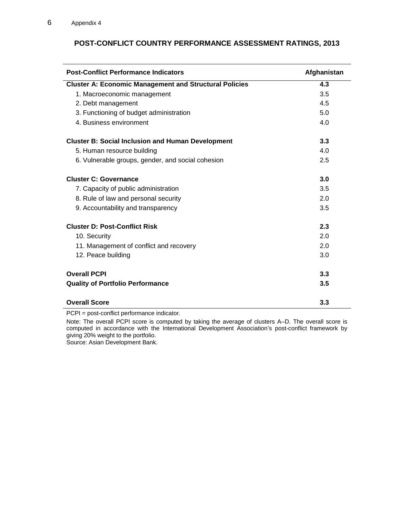| <b>Post-Conflict Performance Indicators</b>                   | Afghanistan |
|---------------------------------------------------------------|-------------|
| <b>Cluster A: Economic Management and Structural Policies</b> | 4.3         |
| 1. Macroeconomic management                                   | 3.5         |
| 2. Debt management                                            | 4.5         |
| 3. Functioning of budget administration                       | 5.0         |
| 4. Business environment                                       | 4.0         |
| <b>Cluster B: Social Inclusion and Human Development</b>      | 3.3         |
| 5. Human resource building                                    | 4.0         |
| 6. Vulnerable groups, gender, and social cohesion             | 2.5         |
| <b>Cluster C: Governance</b>                                  | 3.0         |
| 7. Capacity of public administration                          | 3.5         |
| 8. Rule of law and personal security                          | 2.0         |
| 9. Accountability and transparency                            | 3.5         |
| <b>Cluster D: Post-Conflict Risk</b>                          | 2.3         |
| 10. Security                                                  | 2.0         |
| 11. Management of conflict and recovery                       | 2.0         |
| 12. Peace building                                            | 3.0         |
| <b>Overall PCPI</b>                                           | 3.3         |
| <b>Quality of Portfolio Performance</b>                       | 3.5         |
| <b>Overall Score</b>                                          | 3.3         |

# **POST-CONFLICT COUNTRY PERFORMANCE ASSESSMENT RATINGS, 2013**

PCPI = post-conflict performance indicator.

Note: The overall PCPI score is computed by taking the average of clusters A–D. The overall score is computed in accordance with the International Development Association's post-conflict framework by giving 20% weight to the portfolio.

Source: Asian Development Bank.